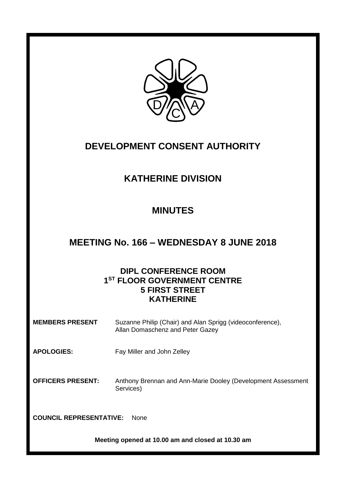

# **DEVELOPMENT CONSENT AUTHORITY**

# **KATHERINE DIVISION**

# **MINUTES**

## **MEETING No. 166 – WEDNESDAY 8 JUNE 2018**

## **DIPL CONFERENCE ROOM 1 ST FLOOR GOVERNMENT CENTRE 5 FIRST STREET KATHERINE**

| <b>MEMBERS PRESENT</b>                        | Suzanne Philip (Chair) and Alan Sprigg (videoconference),<br>Allan Domaschenz and Peter Gazey |
|-----------------------------------------------|-----------------------------------------------------------------------------------------------|
| <b>APOLOGIES:</b>                             | Fay Miller and John Zelley                                                                    |
| <b>OFFICERS PRESENT:</b>                      | Anthony Brennan and Ann-Marie Dooley (Development Assessment<br>Services)                     |
| <b>COUNCIL REPRESENTATIVE:</b><br><b>None</b> |                                                                                               |

**Meeting opened at 10.00 am and closed at 10.30 am**